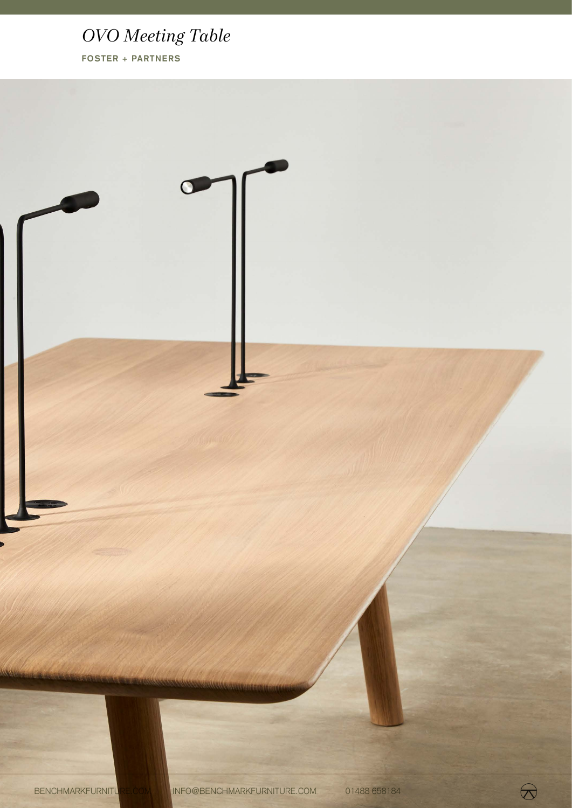# *OVO Meeting Table*

**FOSTER + PARTNERS**